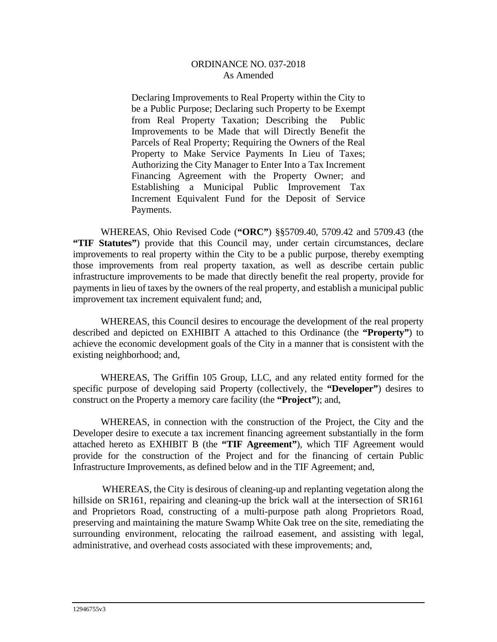Declaring Improvements to Real Property within the City to be a Public Purpose; Declaring such Property to be Exempt from Real Property Taxation; Describing the Public Improvements to be Made that will Directly Benefit the Parcels of Real Property; Requiring the Owners of the Real Property to Make Service Payments In Lieu of Taxes; Authorizing the City Manager to Enter Into a Tax Increment Financing Agreement with the Property Owner; and Establishing a Municipal Public Improvement Tax Increment Equivalent Fund for the Deposit of Service Payments.

 WHEREAS, Ohio Revised Code (**"ORC"**) §§5709.40, 5709.42 and 5709.43 (the **"TIF Statutes"**) provide that this Council may, under certain circumstances, declare improvements to real property within the City to be a public purpose, thereby exempting those improvements from real property taxation, as well as describe certain public infrastructure improvements to be made that directly benefit the real property, provide for payments in lieu of taxes by the owners of the real property, and establish a municipal public improvement tax increment equivalent fund; and,

 WHEREAS, this Council desires to encourage the development of the real property described and depicted on EXHIBIT A attached to this Ordinance (the **"Property"**) to achieve the economic development goals of the City in a manner that is consistent with the existing neighborhood; and,

 WHEREAS, The Griffin 105 Group, LLC, and any related entity formed for the specific purpose of developing said Property (collectively, the **"Developer"**) desires to construct on the Property a memory care facility (the **"Project"**); and,

 WHEREAS, in connection with the construction of the Project, the City and the Developer desire to execute a tax increment financing agreement substantially in the form attached hereto as EXHIBIT B (the **"TIF Agreement"**), which TIF Agreement would provide for the construction of the Project and for the financing of certain Public Infrastructure Improvements, as defined below and in the TIF Agreement; and,

 WHEREAS, the City is desirous of cleaning-up and replanting vegetation along the hillside on SR161, repairing and cleaning-up the brick wall at the intersection of SR161 and Proprietors Road, constructing of a multi-purpose path along Proprietors Road, preserving and maintaining the mature Swamp White Oak tree on the site, remediating the surrounding environment, relocating the railroad easement, and assisting with legal, administrative, and overhead costs associated with these improvements; and,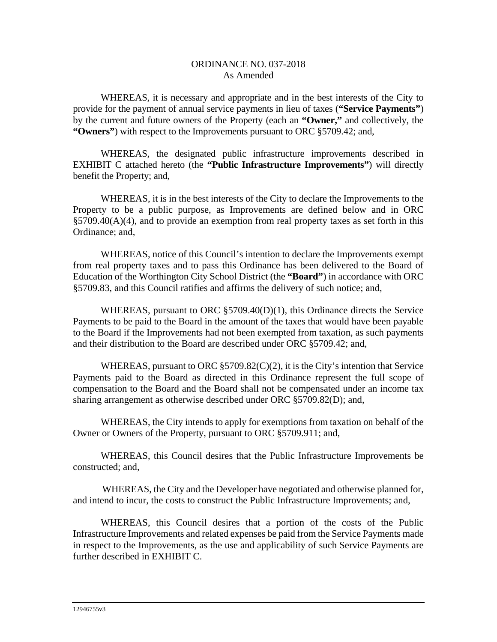WHEREAS, it is necessary and appropriate and in the best interests of the City to provide for the payment of annual service payments in lieu of taxes (**"Service Payments"**) by the current and future owners of the Property (each an **"Owner,"** and collectively, the **"Owners"**) with respect to the Improvements pursuant to ORC §5709.42; and,

 WHEREAS, the designated public infrastructure improvements described in EXHIBIT C attached hereto (the **"Public Infrastructure Improvements"**) will directly benefit the Property; and,

 WHEREAS, it is in the best interests of the City to declare the Improvements to the Property to be a public purpose, as Improvements are defined below and in ORC §5709.40(A)(4), and to provide an exemption from real property taxes as set forth in this Ordinance; and,

 WHEREAS, notice of this Council's intention to declare the Improvements exempt from real property taxes and to pass this Ordinance has been delivered to the Board of Education of the Worthington City School District (the **"Board"**) in accordance with ORC §5709.83, and this Council ratifies and affirms the delivery of such notice; and,

 WHEREAS, pursuant to ORC §5709.40(D)(1), this Ordinance directs the Service Payments to be paid to the Board in the amount of the taxes that would have been payable to the Board if the Improvements had not been exempted from taxation, as such payments and their distribution to the Board are described under ORC §5709.42; and,

WHEREAS, pursuant to ORC  $\S5709.82(C)(2)$ , it is the City's intention that Service Payments paid to the Board as directed in this Ordinance represent the full scope of compensation to the Board and the Board shall not be compensated under an income tax sharing arrangement as otherwise described under ORC §5709.82(D); and,

 WHEREAS, the City intends to apply for exemptions from taxation on behalf of the Owner or Owners of the Property, pursuant to ORC §5709.911; and,

 WHEREAS, this Council desires that the Public Infrastructure Improvements be constructed; and,

 WHEREAS, the City and the Developer have negotiated and otherwise planned for, and intend to incur, the costs to construct the Public Infrastructure Improvements; and,

 WHEREAS, this Council desires that a portion of the costs of the Public Infrastructure Improvements and related expenses be paid from the Service Payments made in respect to the Improvements, as the use and applicability of such Service Payments are further described in EXHIBIT C.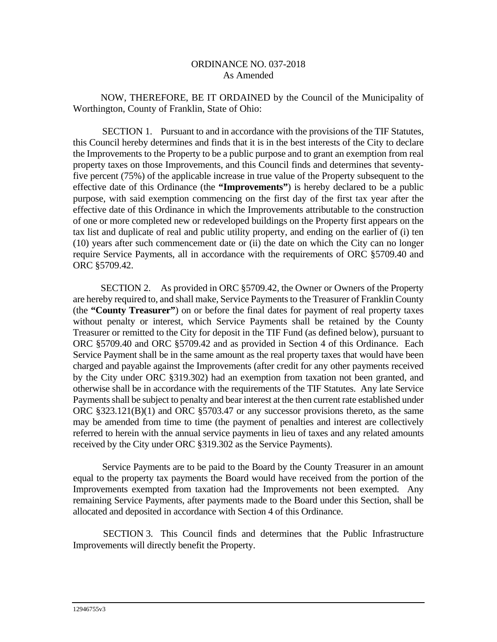NOW, THEREFORE, BE IT ORDAINED by the Council of the Municipality of Worthington, County of Franklin, State of Ohio:

 SECTION 1. Pursuant to and in accordance with the provisions of the TIF Statutes, this Council hereby determines and finds that it is in the best interests of the City to declare the Improvements to the Property to be a public purpose and to grant an exemption from real property taxes on those Improvements, and this Council finds and determines that seventyfive percent (75%) of the applicable increase in true value of the Property subsequent to the effective date of this Ordinance (the **"Improvements"**) is hereby declared to be a public purpose, with said exemption commencing on the first day of the first tax year after the effective date of this Ordinance in which the Improvements attributable to the construction of one or more completed new or redeveloped buildings on the Property first appears on the tax list and duplicate of real and public utility property, and ending on the earlier of (i) ten (10) years after such commencement date or (ii) the date on which the City can no longer require Service Payments, all in accordance with the requirements of ORC §5709.40 and ORC §5709.42.

 SECTION 2. As provided in ORC §5709.42, the Owner or Owners of the Property are hereby required to, and shall make, Service Payments to the Treasurer of Franklin County (the **"County Treasurer"**) on or before the final dates for payment of real property taxes without penalty or interest, which Service Payments shall be retained by the County Treasurer or remitted to the City for deposit in the TIF Fund (as defined below), pursuant to ORC §5709.40 and ORC §5709.42 and as provided in Section 4 of this Ordinance. Each Service Payment shall be in the same amount as the real property taxes that would have been charged and payable against the Improvements (after credit for any other payments received by the City under ORC §319.302) had an exemption from taxation not been granted, and otherwise shall be in accordance with the requirements of the TIF Statutes. Any late Service Payments shall be subject to penalty and bear interest at the then current rate established under ORC §323.121(B)(1) and ORC §5703.47 or any successor provisions thereto, as the same may be amended from time to time (the payment of penalties and interest are collectively referred to herein with the annual service payments in lieu of taxes and any related amounts received by the City under ORC §319.302 as the Service Payments).

 Service Payments are to be paid to the Board by the County Treasurer in an amount equal to the property tax payments the Board would have received from the portion of the Improvements exempted from taxation had the Improvements not been exempted. Any remaining Service Payments, after payments made to the Board under this Section, shall be allocated and deposited in accordance with Section 4 of this Ordinance.

 SECTION 3. This Council finds and determines that the Public Infrastructure Improvements will directly benefit the Property.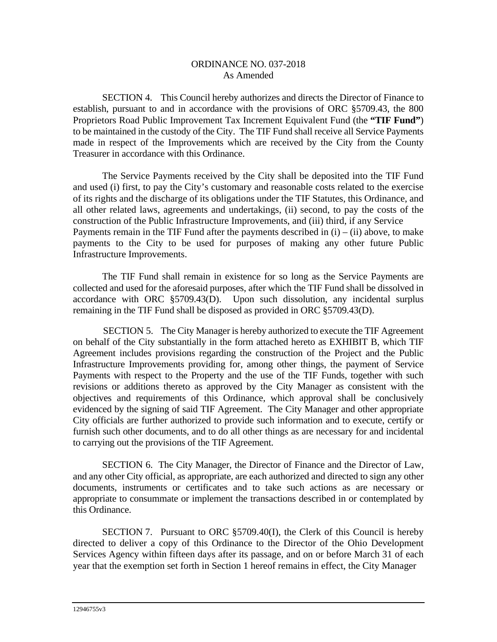SECTION 4. This Council hereby authorizes and directs the Director of Finance to establish, pursuant to and in accordance with the provisions of ORC §5709.43, the 800 Proprietors Road Public Improvement Tax Increment Equivalent Fund (the **"TIF Fund"**) to be maintained in the custody of the City. The TIF Fund shall receive all Service Payments made in respect of the Improvements which are received by the City from the County Treasurer in accordance with this Ordinance.

 The Service Payments received by the City shall be deposited into the TIF Fund and used (i) first, to pay the City's customary and reasonable costs related to the exercise of its rights and the discharge of its obligations under the TIF Statutes, this Ordinance, and all other related laws, agreements and undertakings, (ii) second, to pay the costs of the construction of the Public Infrastructure Improvements, and (iii) third, if any Service Payments remain in the TIF Fund after the payments described in  $(i) - (ii)$  above, to make payments to the City to be used for purposes of making any other future Public Infrastructure Improvements.

 The TIF Fund shall remain in existence for so long as the Service Payments are collected and used for the aforesaid purposes, after which the TIF Fund shall be dissolved in accordance with ORC §5709.43(D). Upon such dissolution, any incidental surplus remaining in the TIF Fund shall be disposed as provided in ORC §5709.43(D).

 SECTION 5. The City Manager is hereby authorized to execute the TIF Agreement on behalf of the City substantially in the form attached hereto as EXHIBIT B, which TIF Agreement includes provisions regarding the construction of the Project and the Public Infrastructure Improvements providing for, among other things, the payment of Service Payments with respect to the Property and the use of the TIF Funds, together with such revisions or additions thereto as approved by the City Manager as consistent with the objectives and requirements of this Ordinance, which approval shall be conclusively evidenced by the signing of said TIF Agreement. The City Manager and other appropriate City officials are further authorized to provide such information and to execute, certify or furnish such other documents, and to do all other things as are necessary for and incidental to carrying out the provisions of the TIF Agreement.

 SECTION 6. The City Manager, the Director of Finance and the Director of Law, and any other City official, as appropriate, are each authorized and directed to sign any other documents, instruments or certificates and to take such actions as are necessary or appropriate to consummate or implement the transactions described in or contemplated by this Ordinance.

SECTION 7. Pursuant to ORC §5709.40(I), the Clerk of this Council is hereby directed to deliver a copy of this Ordinance to the Director of the Ohio Development Services Agency within fifteen days after its passage, and on or before March 31 of each year that the exemption set forth in Section 1 hereof remains in effect, the City Manager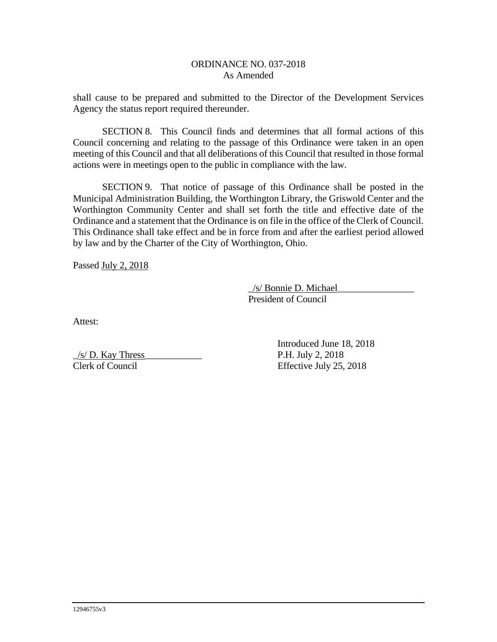shall cause to be prepared and submitted to the Director of the Development Services Agency the status report required thereunder.

 SECTION 8. This Council finds and determines that all formal actions of this Council concerning and relating to the passage of this Ordinance were taken in an open meeting of this Council and that all deliberations of this Council that resulted in those formal actions were in meetings open to the public in compliance with the law.

SECTION 9. That notice of passage of this Ordinance shall be posted in the Municipal Administration Building, the Worthington Library, the Griswold Center and the Worthington Community Center and shall set forth the title and effective date of the Ordinance and a statement that the Ordinance is on file in the office of the Clerk of Council. This Ordinance shall take effect and be in force from and after the earliest period allowed by law and by the Charter of the City of Worthington, Ohio.

Passed July 2, 2018

 \_/s/ Bonnie D. Michael\_\_\_\_\_\_\_\_\_\_\_\_\_\_\_\_ President of Council

Attest:

 $\frac{1}{s}$  P.H. July 2, 2018 Clerk of Council Effective July 25, 2018

Introduced June 18, 2018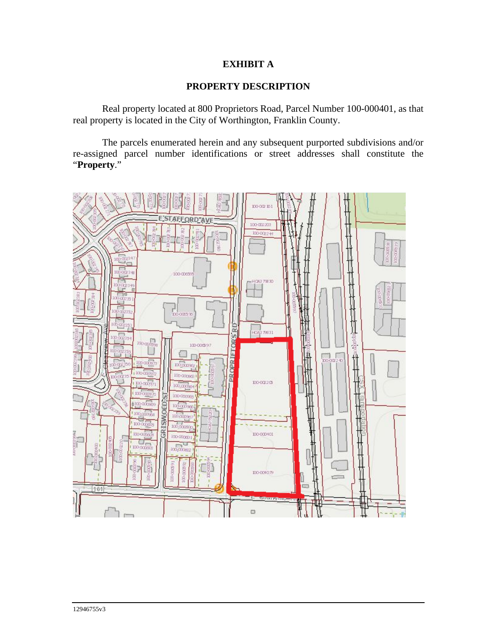## **EXHIBIT A**

## **PROPERTY DESCRIPTION**

 Real property located at 800 Proprietors Road, Parcel Number 100-000401, as that real property is located in the City of Worthington, Franklin County.

 The parcels enumerated herein and any subsequent purported subdivisions and/or re-assigned parcel number identifications or street addresses shall constitute the "**Property**."

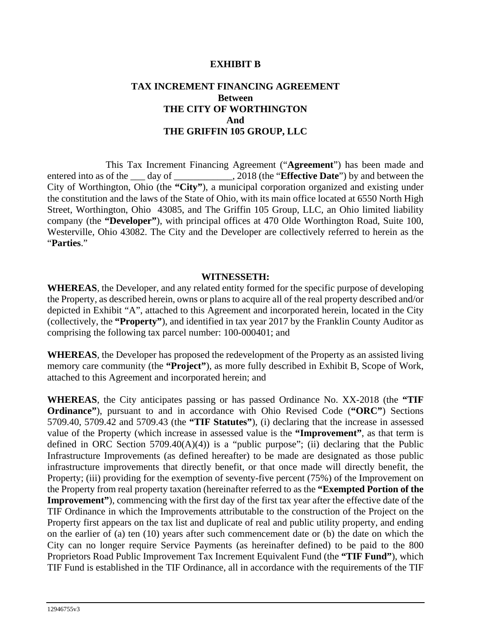### **EXHIBIT B**

## **TAX INCREMENT FINANCING AGREEMENT Between THE CITY OF WORTHINGTON And THE GRIFFIN 105 GROUP, LLC**

 This Tax Increment Financing Agreement ("**Agreement**") has been made and entered into as of the \_\_\_ day of \_\_\_\_\_\_\_\_\_\_\_\_, 2018 (the "**Effective Date**") by and between the City of Worthington, Ohio (the **"City"**), a municipal corporation organized and existing under the constitution and the laws of the State of Ohio, with its main office located at 6550 North High Street, Worthington, Ohio 43085, and The Griffin 105 Group, LLC, an Ohio limited liability company (the **"Developer"**), with principal offices at 470 Olde Worthington Road, Suite 100, Westerville, Ohio 43082. The City and the Developer are collectively referred to herein as the "**Parties**."

#### **WITNESSETH:**

**WHEREAS**, the Developer, and any related entity formed for the specific purpose of developing the Property, as described herein, owns or plans to acquire all of the real property described and/or depicted in Exhibit "A", attached to this Agreement and incorporated herein, located in the City (collectively, the **"Property"**), and identified in tax year 2017 by the Franklin County Auditor as comprising the following tax parcel number: 100-000401; and

**WHEREAS**, the Developer has proposed the redevelopment of the Property as an assisted living memory care community (the **"Project"**), as more fully described in Exhibit B, Scope of Work, attached to this Agreement and incorporated herein; and

**WHEREAS**, the City anticipates passing or has passed Ordinance No. XX-2018 (the **"TIF Ordinance"**), pursuant to and in accordance with Ohio Revised Code (**"ORC"**) Sections 5709.40, 5709.42 and 5709.43 (the **"TIF Statutes"**), (i) declaring that the increase in assessed value of the Property (which increase in assessed value is the **"Improvement"**, as that term is defined in ORC Section  $5709.40(A)(4)$  is a "public purpose"; (ii) declaring that the Public Infrastructure Improvements (as defined hereafter) to be made are designated as those public infrastructure improvements that directly benefit, or that once made will directly benefit, the Property; (iii) providing for the exemption of seventy-five percent (75%) of the Improvement on the Property from real property taxation (hereinafter referred to as the **"Exempted Portion of the Improvement**"), commencing with the first day of the first tax year after the effective date of the TIF Ordinance in which the Improvements attributable to the construction of the Project on the Property first appears on the tax list and duplicate of real and public utility property, and ending on the earlier of (a) ten (10) years after such commencement date or (b) the date on which the City can no longer require Service Payments (as hereinafter defined) to be paid to the 800 Proprietors Road Public Improvement Tax Increment Equivalent Fund (the **"TIF Fund"**), which TIF Fund is established in the TIF Ordinance, all in accordance with the requirements of the TIF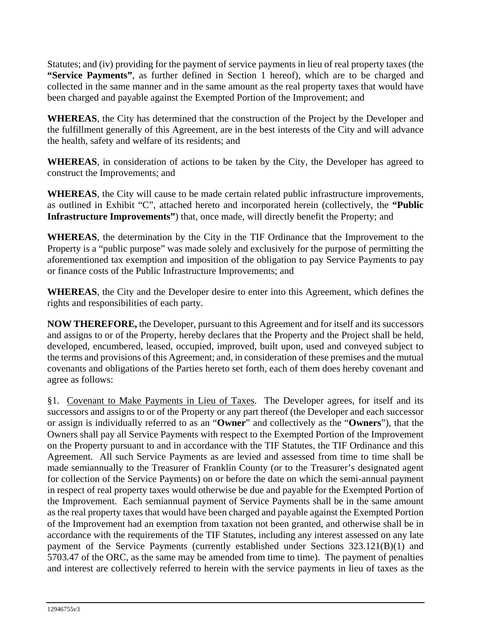Statutes; and (iv) providing for the payment of service payments in lieu of real property taxes (the **"Service Payments"**, as further defined in Section 1 hereof), which are to be charged and collected in the same manner and in the same amount as the real property taxes that would have been charged and payable against the Exempted Portion of the Improvement; and

**WHEREAS**, the City has determined that the construction of the Project by the Developer and the fulfillment generally of this Agreement, are in the best interests of the City and will advance the health, safety and welfare of its residents; and

**WHEREAS**, in consideration of actions to be taken by the City, the Developer has agreed to construct the Improvements; and

**WHEREAS**, the City will cause to be made certain related public infrastructure improvements, as outlined in Exhibit "C", attached hereto and incorporated herein (collectively, the **"Public Infrastructure Improvements"**) that, once made, will directly benefit the Property; and

**WHEREAS**, the determination by the City in the TIF Ordinance that the Improvement to the Property is a "public purpose" was made solely and exclusively for the purpose of permitting the aforementioned tax exemption and imposition of the obligation to pay Service Payments to pay or finance costs of the Public Infrastructure Improvements; and

**WHEREAS**, the City and the Developer desire to enter into this Agreement, which defines the rights and responsibilities of each party.

**NOW THEREFORE,** the Developer, pursuant to this Agreement and for itself and its successors and assigns to or of the Property, hereby declares that the Property and the Project shall be held, developed, encumbered, leased, occupied, improved, built upon, used and conveyed subject to the terms and provisions of this Agreement; and, in consideration of these premises and the mutual covenants and obligations of the Parties hereto set forth, each of them does hereby covenant and agree as follows:

§1. Covenant to Make Payments in Lieu of Taxes. The Developer agrees, for itself and its successors and assigns to or of the Property or any part thereof (the Developer and each successor or assign is individually referred to as an "**Owner**" and collectively as the "**Owners**"), that the Owners shall pay all Service Payments with respect to the Exempted Portion of the Improvement on the Property pursuant to and in accordance with the TIF Statutes, the TIF Ordinance and this Agreement. All such Service Payments as are levied and assessed from time to time shall be made semiannually to the Treasurer of Franklin County (or to the Treasurer's designated agent for collection of the Service Payments) on or before the date on which the semi-annual payment in respect of real property taxes would otherwise be due and payable for the Exempted Portion of the Improvement. Each semiannual payment of Service Payments shall be in the same amount as the real property taxes that would have been charged and payable against the Exempted Portion of the Improvement had an exemption from taxation not been granted, and otherwise shall be in accordance with the requirements of the TIF Statutes, including any interest assessed on any late payment of the Service Payments (currently established under Sections 323.121(B)(1) and 5703.47 of the ORC, as the same may be amended from time to time). The payment of penalties and interest are collectively referred to herein with the service payments in lieu of taxes as the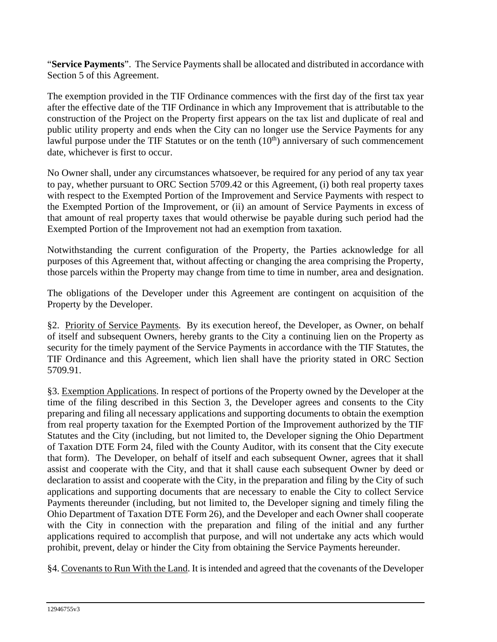"**Service Payments**". The Service Payments shall be allocated and distributed in accordance with Section 5 of this Agreement.

The exemption provided in the TIF Ordinance commences with the first day of the first tax year after the effective date of the TIF Ordinance in which any Improvement that is attributable to the construction of the Project on the Property first appears on the tax list and duplicate of real and public utility property and ends when the City can no longer use the Service Payments for any lawful purpose under the TIF Statutes or on the tenth  $(10<sup>th</sup>)$  anniversary of such commencement date, whichever is first to occur.

No Owner shall, under any circumstances whatsoever, be required for any period of any tax year to pay, whether pursuant to ORC Section 5709.42 or this Agreement, (i) both real property taxes with respect to the Exempted Portion of the Improvement and Service Payments with respect to the Exempted Portion of the Improvement, or (ii) an amount of Service Payments in excess of that amount of real property taxes that would otherwise be payable during such period had the Exempted Portion of the Improvement not had an exemption from taxation.

Notwithstanding the current configuration of the Property, the Parties acknowledge for all purposes of this Agreement that, without affecting or changing the area comprising the Property, those parcels within the Property may change from time to time in number, area and designation.

The obligations of the Developer under this Agreement are contingent on acquisition of the Property by the Developer.

§2. Priority of Service Payments. By its execution hereof, the Developer, as Owner, on behalf of itself and subsequent Owners, hereby grants to the City a continuing lien on the Property as security for the timely payment of the Service Payments in accordance with the TIF Statutes, the TIF Ordinance and this Agreement, which lien shall have the priority stated in ORC Section 5709.91.

§3. Exemption Applications. In respect of portions of the Property owned by the Developer at the time of the filing described in this Section 3, the Developer agrees and consents to the City preparing and filing all necessary applications and supporting documents to obtain the exemption from real property taxation for the Exempted Portion of the Improvement authorized by the TIF Statutes and the City (including, but not limited to, the Developer signing the Ohio Department of Taxation DTE Form 24, filed with the County Auditor, with its consent that the City execute that form). The Developer, on behalf of itself and each subsequent Owner, agrees that it shall assist and cooperate with the City, and that it shall cause each subsequent Owner by deed or declaration to assist and cooperate with the City, in the preparation and filing by the City of such applications and supporting documents that are necessary to enable the City to collect Service Payments thereunder (including, but not limited to, the Developer signing and timely filing the Ohio Department of Taxation DTE Form 26), and the Developer and each Owner shall cooperate with the City in connection with the preparation and filing of the initial and any further applications required to accomplish that purpose, and will not undertake any acts which would prohibit, prevent, delay or hinder the City from obtaining the Service Payments hereunder.

§4. Covenants to Run With the Land. It is intended and agreed that the covenants of the Developer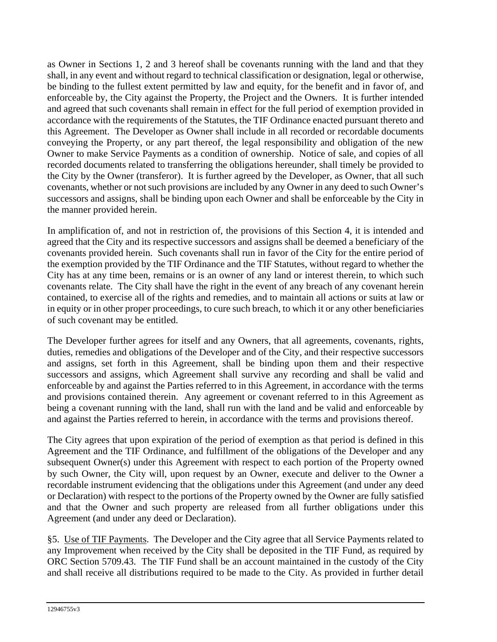as Owner in Sections 1, 2 and 3 hereof shall be covenants running with the land and that they shall, in any event and without regard to technical classification or designation, legal or otherwise, be binding to the fullest extent permitted by law and equity, for the benefit and in favor of, and enforceable by, the City against the Property, the Project and the Owners. It is further intended and agreed that such covenants shall remain in effect for the full period of exemption provided in accordance with the requirements of the Statutes, the TIF Ordinance enacted pursuant thereto and this Agreement. The Developer as Owner shall include in all recorded or recordable documents conveying the Property, or any part thereof, the legal responsibility and obligation of the new Owner to make Service Payments as a condition of ownership. Notice of sale, and copies of all recorded documents related to transferring the obligations hereunder, shall timely be provided to the City by the Owner (transferor). It is further agreed by the Developer, as Owner, that all such covenants, whether or not such provisions are included by any Owner in any deed to such Owner's successors and assigns, shall be binding upon each Owner and shall be enforceable by the City in the manner provided herein.

In amplification of, and not in restriction of, the provisions of this Section 4, it is intended and agreed that the City and its respective successors and assigns shall be deemed a beneficiary of the covenants provided herein. Such covenants shall run in favor of the City for the entire period of the exemption provided by the TIF Ordinance and the TIF Statutes, without regard to whether the City has at any time been, remains or is an owner of any land or interest therein, to which such covenants relate. The City shall have the right in the event of any breach of any covenant herein contained, to exercise all of the rights and remedies, and to maintain all actions or suits at law or in equity or in other proper proceedings, to cure such breach, to which it or any other beneficiaries of such covenant may be entitled.

The Developer further agrees for itself and any Owners, that all agreements, covenants, rights, duties, remedies and obligations of the Developer and of the City, and their respective successors and assigns, set forth in this Agreement, shall be binding upon them and their respective successors and assigns, which Agreement shall survive any recording and shall be valid and enforceable by and against the Parties referred to in this Agreement, in accordance with the terms and provisions contained therein. Any agreement or covenant referred to in this Agreement as being a covenant running with the land, shall run with the land and be valid and enforceable by and against the Parties referred to herein, in accordance with the terms and provisions thereof.

The City agrees that upon expiration of the period of exemption as that period is defined in this Agreement and the TIF Ordinance, and fulfillment of the obligations of the Developer and any subsequent Owner(s) under this Agreement with respect to each portion of the Property owned by such Owner, the City will, upon request by an Owner, execute and deliver to the Owner a recordable instrument evidencing that the obligations under this Agreement (and under any deed or Declaration) with respect to the portions of the Property owned by the Owner are fully satisfied and that the Owner and such property are released from all further obligations under this Agreement (and under any deed or Declaration).

§5. Use of TIF Payments. The Developer and the City agree that all Service Payments related to any Improvement when received by the City shall be deposited in the TIF Fund, as required by ORC Section 5709.43. The TIF Fund shall be an account maintained in the custody of the City and shall receive all distributions required to be made to the City. As provided in further detail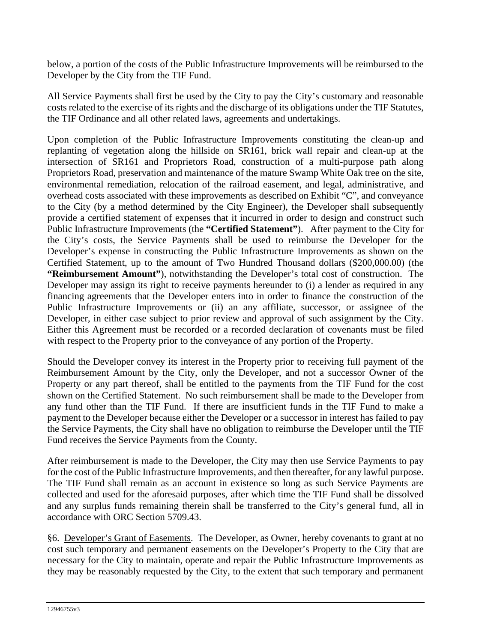below, a portion of the costs of the Public Infrastructure Improvements will be reimbursed to the Developer by the City from the TIF Fund.

All Service Payments shall first be used by the City to pay the City's customary and reasonable costs related to the exercise of its rights and the discharge of its obligations under the TIF Statutes, the TIF Ordinance and all other related laws, agreements and undertakings.

Upon completion of the Public Infrastructure Improvements constituting the clean-up and replanting of vegetation along the hillside on SR161, brick wall repair and clean-up at the intersection of SR161 and Proprietors Road, construction of a multi-purpose path along Proprietors Road, preservation and maintenance of the mature Swamp White Oak tree on the site, environmental remediation, relocation of the railroad easement, and legal, administrative, and overhead costs associated with these improvements as described on Exhibit "C", and conveyance to the City (by a method determined by the City Engineer), the Developer shall subsequently provide a certified statement of expenses that it incurred in order to design and construct such Public Infrastructure Improvements (the **"Certified Statement"**). After payment to the City for the City's costs, the Service Payments shall be used to reimburse the Developer for the Developer's expense in constructing the Public Infrastructure Improvements as shown on the Certified Statement, up to the amount of Two Hundred Thousand dollars (\$200,000.00) (the **"Reimbursement Amount"**), notwithstanding the Developer's total cost of construction. The Developer may assign its right to receive payments hereunder to (i) a lender as required in any financing agreements that the Developer enters into in order to finance the construction of the Public Infrastructure Improvements or (ii) an any affiliate, successor, or assignee of the Developer, in either case subject to prior review and approval of such assignment by the City. Either this Agreement must be recorded or a recorded declaration of covenants must be filed with respect to the Property prior to the conveyance of any portion of the Property.

Should the Developer convey its interest in the Property prior to receiving full payment of the Reimbursement Amount by the City, only the Developer, and not a successor Owner of the Property or any part thereof, shall be entitled to the payments from the TIF Fund for the cost shown on the Certified Statement. No such reimbursement shall be made to the Developer from any fund other than the TIF Fund. If there are insufficient funds in the TIF Fund to make a payment to the Developer because either the Developer or a successor in interest has failed to pay the Service Payments, the City shall have no obligation to reimburse the Developer until the TIF Fund receives the Service Payments from the County.

After reimbursement is made to the Developer, the City may then use Service Payments to pay for the cost of the Public Infrastructure Improvements, and then thereafter, for any lawful purpose. The TIF Fund shall remain as an account in existence so long as such Service Payments are collected and used for the aforesaid purposes, after which time the TIF Fund shall be dissolved and any surplus funds remaining therein shall be transferred to the City's general fund, all in accordance with ORC Section 5709.43.

§6. Developer's Grant of Easements. The Developer, as Owner, hereby covenants to grant at no cost such temporary and permanent easements on the Developer's Property to the City that are necessary for the City to maintain, operate and repair the Public Infrastructure Improvements as they may be reasonably requested by the City, to the extent that such temporary and permanent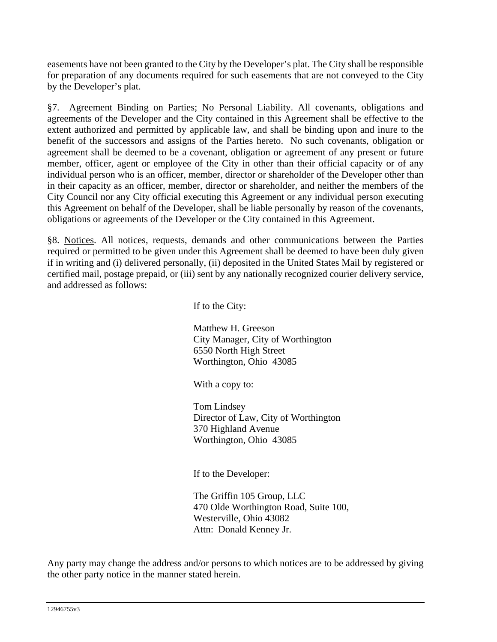easements have not been granted to the City by the Developer's plat. The City shall be responsible for preparation of any documents required for such easements that are not conveyed to the City by the Developer's plat.

§7. Agreement Binding on Parties; No Personal Liability. All covenants, obligations and agreements of the Developer and the City contained in this Agreement shall be effective to the extent authorized and permitted by applicable law, and shall be binding upon and inure to the benefit of the successors and assigns of the Parties hereto. No such covenants, obligation or agreement shall be deemed to be a covenant, obligation or agreement of any present or future member, officer, agent or employee of the City in other than their official capacity or of any individual person who is an officer, member, director or shareholder of the Developer other than in their capacity as an officer, member, director or shareholder, and neither the members of the City Council nor any City official executing this Agreement or any individual person executing this Agreement on behalf of the Developer, shall be liable personally by reason of the covenants, obligations or agreements of the Developer or the City contained in this Agreement.

§8. Notices. All notices, requests, demands and other communications between the Parties required or permitted to be given under this Agreement shall be deemed to have been duly given if in writing and (i) delivered personally, (ii) deposited in the United States Mail by registered or certified mail, postage prepaid, or (iii) sent by any nationally recognized courier delivery service, and addressed as follows:

If to the City:

Matthew H. Greeson City Manager, City of Worthington 6550 North High Street Worthington, Ohio 43085

With a copy to:

Tom Lindsey Director of Law, City of Worthington 370 Highland Avenue Worthington, Ohio 43085

If to the Developer:

The Griffin 105 Group, LLC 470 Olde Worthington Road, Suite 100, Westerville, Ohio 43082 Attn: Donald Kenney Jr.

Any party may change the address and/or persons to which notices are to be addressed by giving the other party notice in the manner stated herein.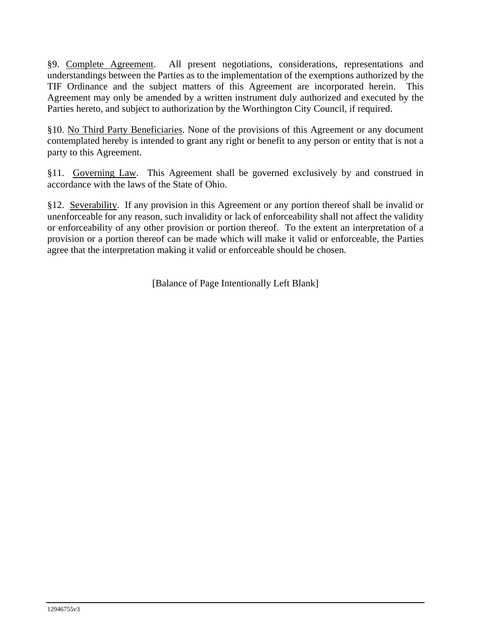§9. Complete Agreement. All present negotiations, considerations, representations and understandings between the Parties as to the implementation of the exemptions authorized by the TIF Ordinance and the subject matters of this Agreement are incorporated herein. This Agreement may only be amended by a written instrument duly authorized and executed by the Parties hereto, and subject to authorization by the Worthington City Council, if required.

§10. No Third Party Beneficiaries. None of the provisions of this Agreement or any document contemplated hereby is intended to grant any right or benefit to any person or entity that is not a party to this Agreement.

§11. Governing Law. This Agreement shall be governed exclusively by and construed in accordance with the laws of the State of Ohio.

§12. Severability. If any provision in this Agreement or any portion thereof shall be invalid or unenforceable for any reason, such invalidity or lack of enforceability shall not affect the validity or enforceability of any other provision or portion thereof. To the extent an interpretation of a provision or a portion thereof can be made which will make it valid or enforceable, the Parties agree that the interpretation making it valid or enforceable should be chosen.

[Balance of Page Intentionally Left Blank]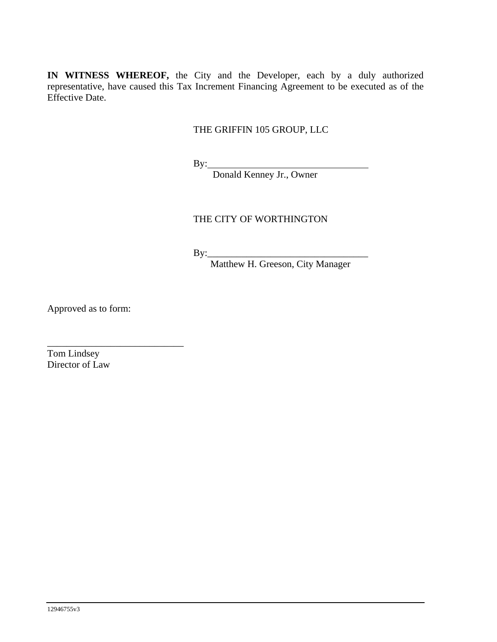**IN WITNESS WHEREOF,** the City and the Developer, each by a duly authorized representative, have caused this Tax Increment Financing Agreement to be executed as of the Effective Date.

## THE GRIFFIN 105 GROUP, LLC

 $By:$ 

Donald Kenney Jr., Owner

## THE CITY OF WORTHINGTON

 $By:$ 

Matthew H. Greeson, City Manager

Approved as to form:

\_\_\_\_\_\_\_\_\_\_\_\_\_\_\_\_\_\_\_\_\_\_\_\_\_\_\_\_

Tom Lindsey Director of Law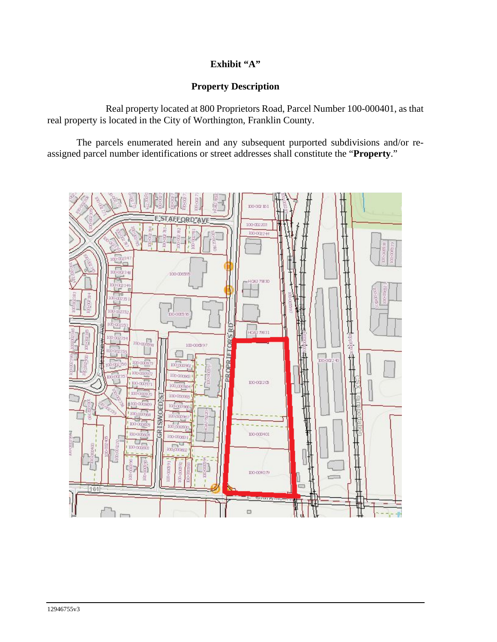# **Exhibit "A"**

## **Property Description**

 Real property located at 800 Proprietors Road, Parcel Number 100-000401, as that real property is located in the City of Worthington, Franklin County.

 The parcels enumerated herein and any subsequent purported subdivisions and/or reassigned parcel number identifications or street addresses shall constitute the "**Property**."

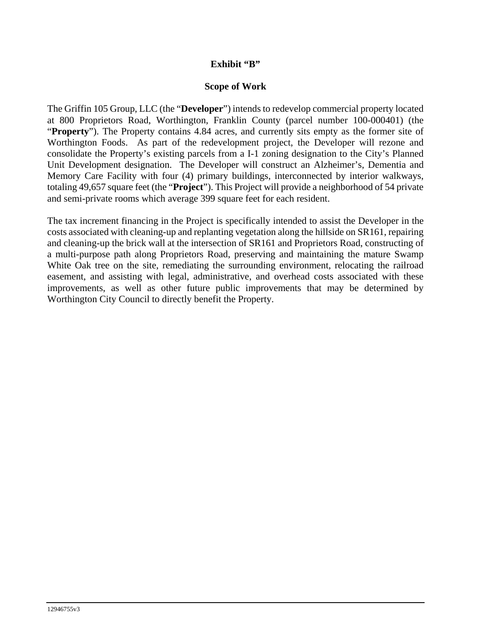## **Exhibit "B"**

## **Scope of Work**

The Griffin 105 Group, LLC (the "**Developer**") intends to redevelop commercial property located at 800 Proprietors Road, Worthington, Franklin County (parcel number 100-000401) (the "**Property**"). The Property contains 4.84 acres, and currently sits empty as the former site of Worthington Foods. As part of the redevelopment project, the Developer will rezone and consolidate the Property's existing parcels from a I-1 zoning designation to the City's Planned Unit Development designation. The Developer will construct an Alzheimer's, Dementia and Memory Care Facility with four (4) primary buildings, interconnected by interior walkways, totaling 49,657 square feet (the "**Project**"). This Project will provide a neighborhood of 54 private and semi-private rooms which average 399 square feet for each resident.

The tax increment financing in the Project is specifically intended to assist the Developer in the costs associated with cleaning-up and replanting vegetation along the hillside on SR161, repairing and cleaning-up the brick wall at the intersection of SR161 and Proprietors Road, constructing of a multi-purpose path along Proprietors Road, preserving and maintaining the mature Swamp White Oak tree on the site, remediating the surrounding environment, relocating the railroad easement, and assisting with legal, administrative, and overhead costs associated with these improvements, as well as other future public improvements that may be determined by Worthington City Council to directly benefit the Property.